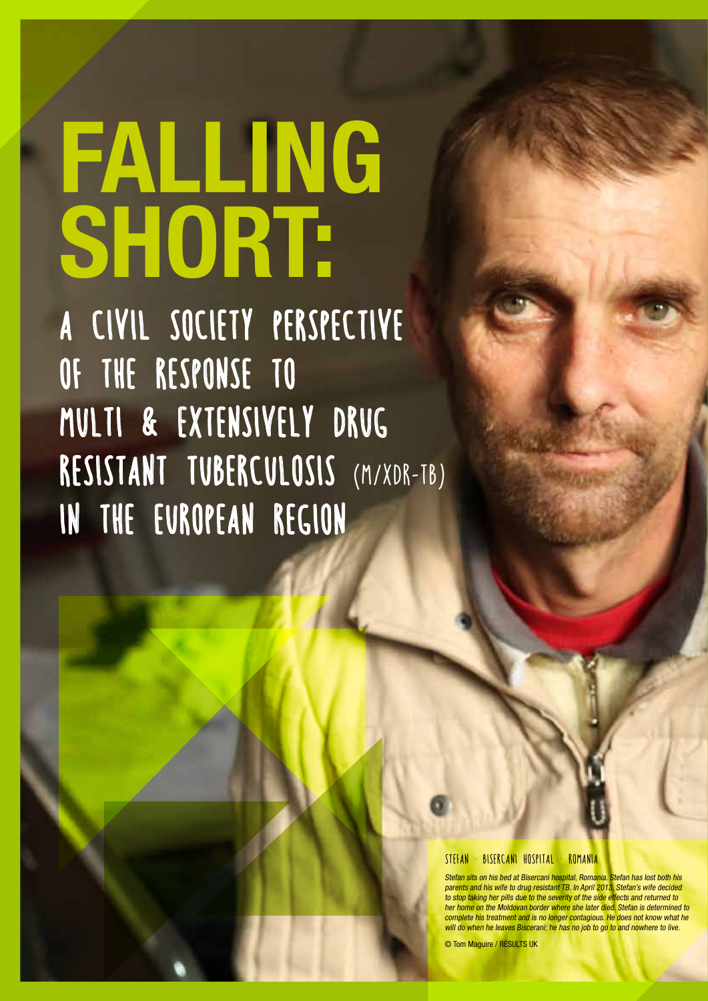# **FALLING SHORT:**

A CIVIL SOCIETY PERSPECTIVE OF THE RESPONSE TO MULTI & EXTENSIVELY DRUG RESISTANT TUBERCULOSIS (M/XDR-TB) IN THE EUROPEAN REGION

#### STEFAN · BISERCANI HOSPITAL · ROMANIA

Stefan sits on his bed at Bisercani hospital, Romania. Stefan has lost both his parents and his wife to drug resistant TB. In April 2013, Stefan's wife decided to stop taking her pills due to the severity of the side effects and returned to her home on the Moldovan border where she later died. Stefan is determined to complete his treatment and is no longer contagious. He does not know what he will do when he leaves Biscerani; he has no job to go to and nowhere to live.

© Tom Maguire / RESULTS UK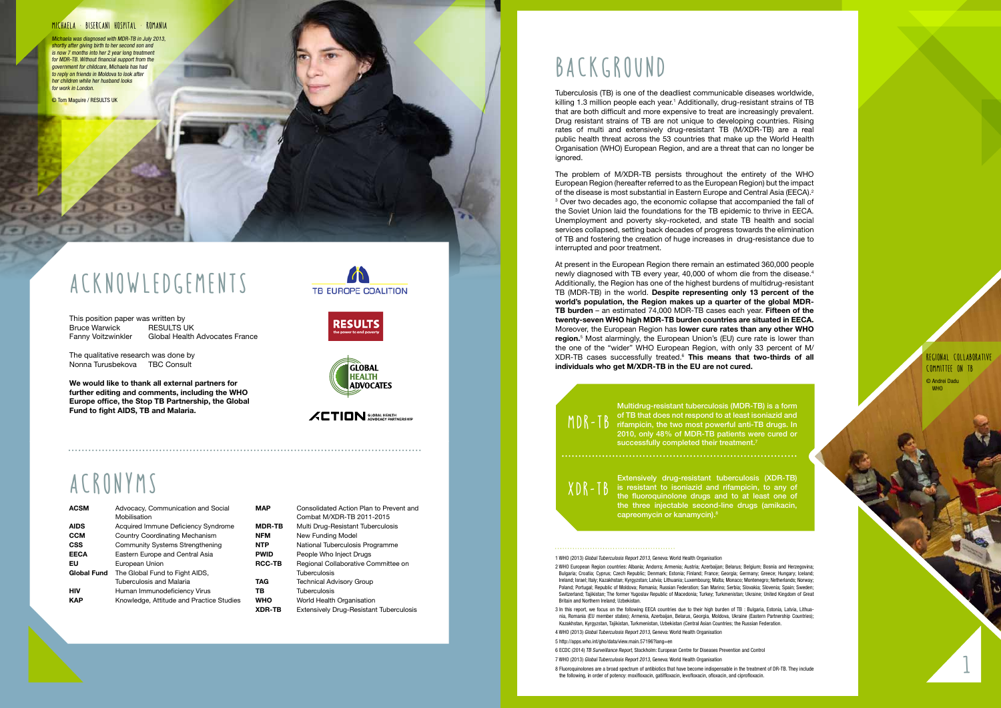# ACRONYMS

| <b>ACSM</b>        | Advocacy, Communication and Social       |  |
|--------------------|------------------------------------------|--|
|                    | Mobilisation                             |  |
| <b>AIDS</b>        | Acquired Immune Deficiency Syndrome      |  |
| <b>CCM</b>         | <b>Country Coordinating Mechanism</b>    |  |
| <b>CSS</b>         | <b>Community Systems Strengthening</b>   |  |
| <b>EECA</b>        | Eastern Europe and Central Asia          |  |
| EU                 | European Union                           |  |
| <b>Global Fund</b> | The Global Fund to Fight AIDS,           |  |
|                    | Tuberculosis and Malaria                 |  |
| нıv                | Human Immunodeficiency Virus             |  |
| KAP                | Knowledge, Attitude and Practice Studies |  |
|                    |                                          |  |

Tuberculosis (TB) is one of the deadliest communicable diseases worldwide, killing 1.3 million people each year.<sup>1</sup> Additionally, drug-resistant strains of TB that are both difficult and more expensive to treat are increasingly prevalent. Drug resistant strains of TB are not unique to developing countries. Rising rates of multi and extensively drug-resistant TB (M/XDR-TB) are a real public health threat across the 53 countries that make up the World Health Organisation (WHO) European Region, and are a threat that can no longer be ignored.

| MAP           | Consolidated Action Plan to Prevent and<br>Combat M/XDR-TB 2011-2015 |  |
|---------------|----------------------------------------------------------------------|--|
| <b>MDR-TB</b> | Multi Drug-Resistant Tuberculosis                                    |  |
| NFM           | New Funding Model                                                    |  |
| NTP           | National Tuberculosis Programme                                      |  |
| PWID          | People Who Inject Drugs                                              |  |
| <b>RCC-TB</b> | Regional Collaborative Committee on                                  |  |
|               | Tuberculosis                                                         |  |
| TAG           | <b>Technical Advisory Group</b>                                      |  |
| тв            | Tuberculosis                                                         |  |
| WHO           | World Health Organisation                                            |  |
| XDR-TB        | Extensively Drug-Resistant Tuberculosis                              |  |

# BACKGROUND

Multidrug-resistant tuberculosis (MDR-TB) is a form of TB that does not respond to at least isoniazid and rifampicin, the two most powerful anti-TB drugs. In 2010, only 48% of MDR-TB patients were cured or successfully completed their treatment.<sup>7</sup>

The problem of M/XDR-TB persists throughout the entirety of the WHO European Region (hereafter referred to as the European Region) but the impact of the disease is most substantial in Eastern Europe and Central Asia (EECA). 2 <sup>3</sup> Over two decades ago, the economic collapse that accompanied the fall of the Soviet Union laid the foundations for the TB epidemic to thrive in EECA. Unemployment and poverty sky-rocketed, and state TB health and social services collapsed, setting back decades of progress towards the elimination of TB and fostering the creation of huge increases in drug-resistance due to interrupted and poor treatment.

At present in the European Region there remain an estimated 360,000 people newly diagnosed with TB every year, 40,000 of whom die from the disease. 4 Additionally, the Region has one of the highest burdens of multidrug-resistant TB (MDR-TB) in the world. **Despite representing only 13 percent of the world's population, the Region makes up a quarter of the global MDR-TB burden** – an estimated 74,000 MDR-TB cases each year. **Fifteen of the twenty-seven WHO high MDR-TB burden countries are situated in EECA.**  Moreover, the European Region has **lower cure rates than any other WHO**  region.<sup>5</sup> Most alarmingly, the European Union's (EU) cure rate is lower than the one of the "wider" WHO European Region, with only 33 percent of M/ XDR-TB cases successfully treated. <sup>6</sup> **This means that two-thirds of all individuals who get M/XDR-TB in the EU are not cured.** 

Regional Collaborative Committee on TB © Andrei Dadu **WHO** 

Extensively drug-resistant tuberculosis (XDR-TB) is resistant to isoniazid and rifampicin, to any of the fluoroquinolone drugs and to at least one of the three injectable second-line drugs (amikacin, capreomycin or kanamycin). 8

#### 1 WHO (2013) Global Tuberculosis Report 2013, Geneva: World Health Organisation

- 2 WHO European Region countries: Albania; Andorra; Armenia; Austria; Azerbaijan; Belarus; Belgium; Bosnia and Herzegovina; Bulgaria; Croatia; Cyprus; Czech Republic; Denmark; Estonia; Finland; France; Georgia; Germany; Greece; Hungary; Iceland; Ireland; Israel; Italy; Kazakhstan; Kyrgyzstan; Latvia; Lithuania; Luxembourg; Malta; Monaco; Montenegro; Netherlands; Norway; Poland; Portugal; Republic of Moldova; Romania; Russian Federation; San Marino; Serbia; Slovakia; Slovenia; Spain; Sweden; Switzerland; Tajikistan; The former Yugoslav Republic of Macedonia; Turkey; Turkmenistan; Ukraine; United Kingdom of Great Britain and Northern Ireland; Uzbekistan.
- 3 In this report, we focus on the following EECA countries due to their high burden of TB : Bulgaria, Estonia, Latvia, Lithua nia, Romania (EU member states); Armenia, Azerbaijan, Belarus, Georgia, Moldova, Ukraine (Eastern Partnership Countries); Kazakhstan, Kyrgyzstan, Tajikistan, Turkmenistan, Uzbekistan (Central Asian Countries; the Russian Federation.
- 4 WHO (2013) Global Tuberculosis Report 2013, Geneva: World Health Organisation 5 http://apps.who.int/gho/data/view.main.57196?lang=en
- 

- 6 ECDC (2014) TB Surveillance Report, Stockholm: European Centre for Diseases Prevention and Control
- 7 WHO (2013) Global Tuberculosis Report 2013, Geneva: World Health Organisation
- 8 Fluoroquinolones are a broad spectrum of antibiotics that have become indispensable in the treatment of DR-TB. They include the following, in order of potency: moxifloxacin, gatilfloxacin, levofloxacin, ofloxacin, and ciprofloxacin.

This position paper was written by Bruce Warwick RESULTS UK Fanny Voitzwinkler Global Health Advocates France

The qualitative research was done by Nonna Turusbekova TBC Consult

**We would like to thank all external partners for further editing and comments, including the WHO Europe office, the Stop TB Partnership, the Global Fund to fight AIDS, TB and Malaria.**









MDR-TB

XDR-TB

#### Michaela · Bisercani hospital · Romania

Michaela was diagnosed with MDR-TB in July 2013, shortly after giving birth to her second son and is now 7 months into her 2 year long treatment for MDR-TB. Without financial support from the government for childcare, Michaela has had to reply on friends in Moldova to look after her children while her husband looks for work in London.

© Tom Maguire / RESULTS UK

# ACKNOWL

1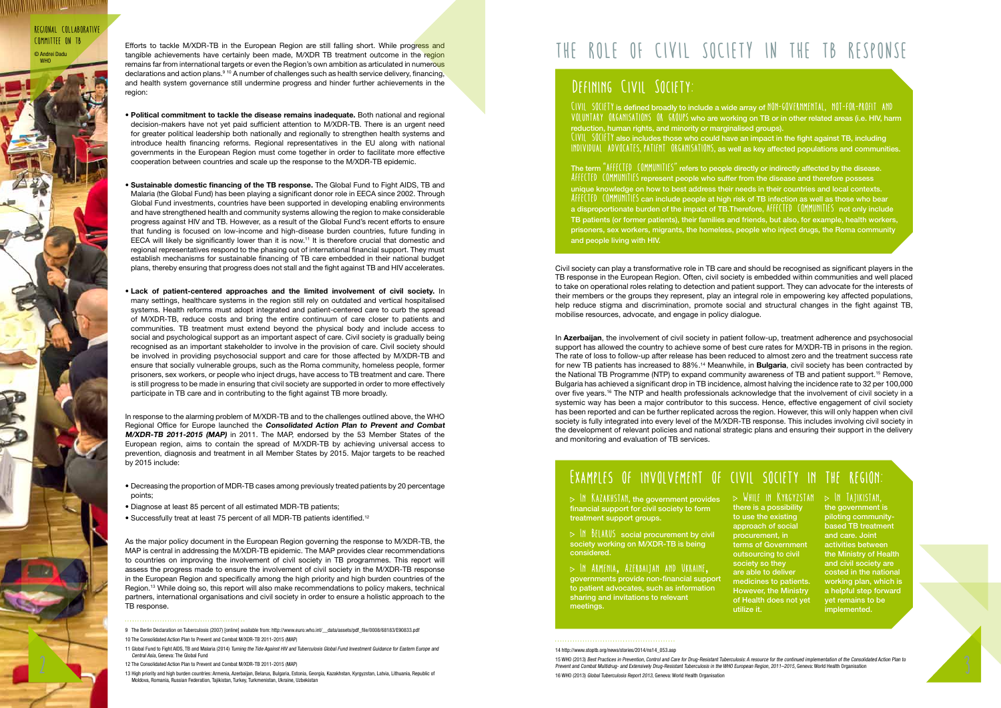Civil society can play a transformative role in TB care and should be recognised as significant players in the TB response in the European Region. Often, civil society is embedded within communities and well placed to take on operational roles relating to detection and patient support. They can advocate for the interests of their members or the groups they represent, play an integral role in empowering key affected populations, help reduce stigma and discrimination, promote social and structural changes in the fight against TB, mobilise resources, advocate, and engage in policy dialogue.

Central Asia, Geneva: The Global Fund<br>12 The Consolidated Action Plan to Prevent and Combat MXDR-TB 2011-2015 (MAP)<br>13 High priority and the Prevent and Combat Mutidated Action Plan to Prevent and Combat Mutidated Action P Prevent and Combat Multidrug- and Extensively Drug-Resistant Tuberculosis in the WHO European Region, 2011–2015, Geneva: World Health Organisation 16 WHO (2013) Global Tuberculosis Report 2013, Geneva: World Health Organisation

In **Azerbaijan**, the involvement of civil society in patient follow-up, treatment adherence and psychosocial support has allowed the country to achieve some of best cure rates for M/XDR-TB in prisons in the region. The rate of loss to follow-up after release has been reduced to almost zero and the treatment success rate for new TB patients has increased to 88%.14 Meanwhile, in **Bulgaria**, civil society has been contracted by the National TB Programme (NTP) to expand community awareness of TB and patient support.15 Remove, Bulgaria has achieved a significant drop in TB incidence, almost halving the incidence rate to 32 per 100,000 over five years.16 The NTP and health professionals acknowledge that the involvement of civil society in a systemic way has been a major contributor to this success. Hence, effective engagement of civil society has been reported and can be further replicated across the region. However, this will only happen when civil society is fully integrated into every level of the M/XDR-TB response. This includes involving civil society in the development of relevant policies and national strategic plans and ensuring their support in the delivery and monitoring and evaluation of TB services.

Efforts to tackle M/XDR-TB in the European Region are still falling short. While progress and tangible achievements have certainly been made, M/XDR TB treatment outcome in the region remains far from international targets or even the Region's own ambition as articulated in numerous declarations and action plans.9 10 A number of challenges such as health service delivery, financing, and health system governance still undermine progress and hinder further achievements in the region:

#### Examples of involvement of civil society in the region:

#### 14 http://www.stoptb.org/news/stories/2014/ns14\_053.asp

 $\cdot$  In Kazakhstan, the government provides  $\quad$   $\triangleright$  While In Kyrgyzstan  $\quad$   $\triangleright$  In Tajikistan, financial support for civil society to form treatment support groups.

 $\triangleright$  IN BELARUS social procurement by civil society working on M/XDR-TB is being considered.

 $\triangleright$  In AMENIA, AZERBAIJAN AND UKRAINE, governments provide non-financial support to patient advocates, such as information sharing and invitations to relevant meetings.

- **Political commitment to tackle the disease remains inadequate.** Both national and regional decision-makers have not yet paid sufficient attention to M/XDR-TB. There is an urgent need for greater political leadership both nationally and regionally to strengthen health systems and introduce health financing reforms. Regional representatives in the EU along with national governments in the European Region must come together in order to facilitate more effective cooperation between countries and scale up the response to the M/XDR-TB epidemic.
- **Sustainable domestic financing of the TB response.** The Global Fund to Fight AIDS, TB and Malaria (the Global Fund) has been playing a significant donor role in EECA since 2002. Through Global Fund investments, countries have been supported in developing enabling environments and have strengthened health and community systems allowing the region to make considerable progress against HIV and TB. However, as a result of the Global Fund's recent efforts to ensure that funding is focused on low-income and high-disease burden countries, future funding in EECA will likely be significantly lower than it is now.<sup>11</sup> It is therefore crucial that domestic and regional representatives respond to the phasing out of international financial support. They must establish mechanisms for sustainable financing of TB care embedded in their national budget plans, thereby ensuring that progress does not stall and the fight against TB and HIV accelerates.
- **Lack of patient-centered approaches and the limited involvement of civil society.** In many settings, healthcare systems in the region still rely on outdated and vertical hospitalised systems. Health reforms must adopt integrated and patient-centered care to curb the spread of M/XDR-TB, reduce costs and bring the entire continuum of care closer to patients and communities. TB treatment must extend beyond the physical body and include access to social and psychological support as an important aspect of care. Civil society is gradually being recognised as an important stakeholder to involve in the provision of care. Civil society should be involved in providing psychosocial support and care for those affected by M/XDR-TB and ensure that socially vulnerable groups, such as the Roma community, homeless people, former prisoners, sex workers, or people who inject drugs, have access to TB treatment and care. There is still progress to be made in ensuring that civil society are supported in order to more effectively participate in TB care and in contributing to the fight against TB more broadly.

The term  $\text{``Afff}$   $[$   $[$   $[$   $[$   $[$   $[$   $[$  $]$  $[$  $]$  $[$  $]$  $[$  $]$  $[$  $]$  $[$  $]$  $[$  $]$  $[$  $]$  $[$  $]$  $[$  $]$  $[$  $]$  $[$  $]$  $[$  $]$  $[$  $]$  $[$  $]$  $[$  $]$  $[$  $]$  $[$  $]$  $[$  $]$  $[$  $]$  $[$  $]$  $[$  $]$  $[$  $]$  $[$  $]$  $[$  $]$  $[$  $]$  $[$  $]$  $[$  $]$  $[$  $]$  $[$ Afff(TfD (OMMUNITIES represent people who suffer from the disease and therefore possess unique knowledge on how to best address their needs in their countries and local contexts.  $Afff([P1]$  ( $OMMUNI[IS)$  can include people at high risk of TB infection as well as those who bear a disproportionate burden of the impact of TB.Therefore,  $\text{Aff}(\text{CFD} \cup \text{OMMOMI})$ TB patients (or former patients), their families and friends, but also, for example, health workers, prisoners, sex workers, migrants, the homeless, people who inject drugs, the Roma community and people living with HIV.

CIVIL SOCIETY is defined broadly to include a wide array of NON-GOVERNMENTAL, NOT-FOR-PROFIT AND VOLUNTARY ORGANISATIONS OR GROUPS who are working on TB or in other related areas (i.e. HIV, harm reduction, human rights, and minority or marginalised groups).  $\text{CIVII}$  SOCIETY also includes those who could have an impact in the fight against TB, including individual advocates, patient organisations, as well as key affected populations and communities.

Regional Collaborative Committee on TB © Andrei Dadu **WHO** 



In response to the alarming problem of M/XDR-TB and to the challenges outlined above, the WHO Regional Office for Europe launched the **Consolidated Action Plan to Prevent and Combat M/XDR-TB 2011-2015 (MAP)** in 2011. The MAP, endorsed by the 53 Member States of the European region, aims to contain the spread of M/XDR-TB by achieving universal access to prevention, diagnosis and treatment in all Member States by 2015. Major targets to be reached by 2015 include:

- Decreasing the proportion of MDR-TB cases among previously treated patients by 20 percentage points;
- Diagnose at least 85 percent of all estimated MDR-TB patients;
- Successfully treat at least 75 percent of all MDR-TB patients identified.<sup>12</sup>

As the major policy document in the European Region governing the response to M/XDR-TB, the MAP is central in addressing the M/XDR-TB epidemic. The MAP provides clear recommendations to countries on improving the involvement of civil society in TB programmes. This report will assess the progress made to ensure the involvement of civil society in the M/XDR-TB response in the European Region and specifically among the high priority and high burden countries of the Region.13 While doing so, this report will also make recommendations to policy makers, technical partners, international organisations and civil society in order to ensure a holistic approach to the TB response.

#### 

- 9 The Berlin Declaration on Tuberculosis (2007) [online] available from: http://www.euro.who.int/\_\_data/assets/pdf\_file/0008/68183/E90833.pdf 10 The Consolidated Action Plan to Prevent and Combat M/XDR-TB 2011-2015 (MAP)
- 11 Global Fund to Fight AIDS, TB and Malaria (2014) Turning the Tide Against HIV and Tuberculosis Global Fund Investment Guidance for Eastern Europe and Central Asia, Geneva: The Global Fund
- 12 The Consolidated Action Plan to Prevent and Combat M/XDR-TB 2011-2015 (MAP)
- 13 High priority and high burden countries: Armenia, Azerbaijan, Belarus, Bulgaria, Estonia, Georgia, Kazakhstan, Kyrgyzstan, Latvia, Lithuania, Republic of Moldova, Romania, Russian Federation, Tajikistan, Turkey, Turkmenistan, Ukraine, Uzbekistan

# THE ROLE OF CIVIL SOCIETY IN THE TB RESPONSE

### DEFINING CIVIL SOCIETY:

there is a possibility to use the existing approach of social procurement, in terms of Government outsourcing to civil society so they are able to deliver medicines to patients. However, the Ministry of Health does not yet utilize it.

the government is piloting communitybased TB treatment and care. Joint activities between the Ministry of Health and civil society are costed in the national working plan, which is a helpful step forward yet remains to be implemented.

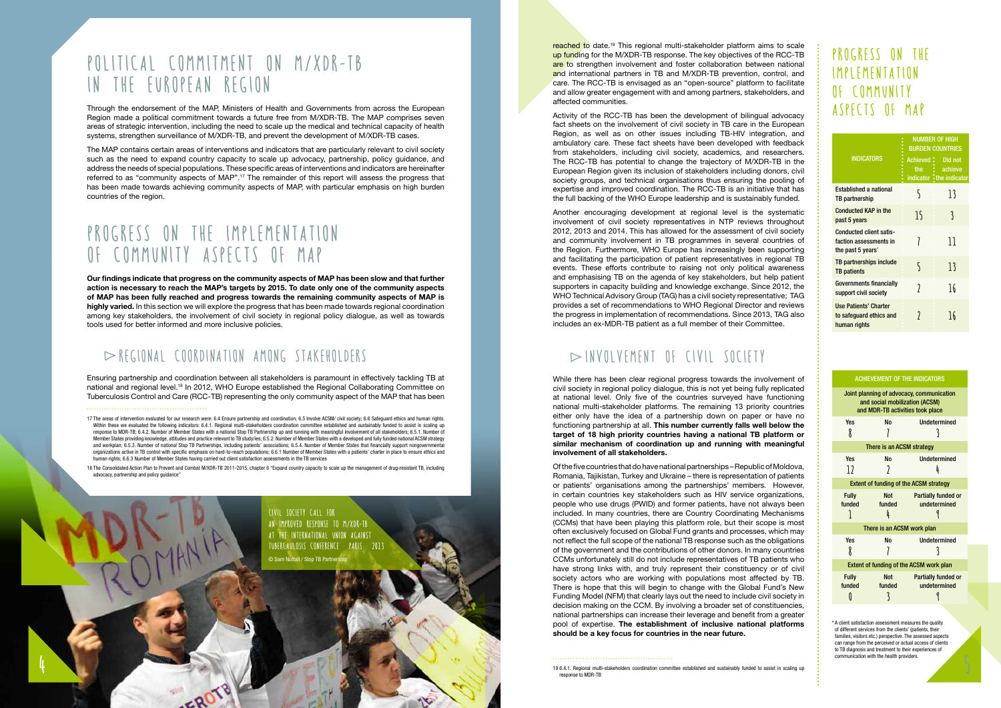reached to date.19 This regional multi-stakeholder platform aims to scale up funding for the M/XDR-TB response. The key objectives of the RCC-TB are to strengthen involvement and foster collaboration between national and international partners in TB and M/XDR-TB prevention, control, and care. The RCC-TB is envisaged as an "open-source" platform to facilitate and allow greater engagement with and among partners, stakeholders, and affected communities.

Activity of the RCC-TB has been the development of bilingual advocacy fact sheets on the involvement of civil society in TB care in the European Region, as well as on other issues including TB-HIV integration, and ambulatory care. These fact sheets have been developed with feedback from stakeholders, including civil society, academics, and researchers. The RCC-TB has potential to change the trajectory of M/XDR-TB in the European Region given its inclusion of stakeholders including donors, civil society groups, and technical organisations thus ensuring the pooling of expertise and improved coordination. The RCC-TB is an initiative that has the full backing of the WHO Europe leadership and is sustainably funded.

Another encouraging development at regional level is the systematic involvement of civil society representatives in NTP reviews throughout 2012, 2013 and 2014. This has allowed for the assessment of civil society and community involvement in TB programmes in several countries of the Region. Furthermore, WHO Europe has increasingly been supporting and facilitating the participation of patient representatives in regional TB events. These efforts contribute to raising not only political awareness and emphasising TB on the agenda of key stakeholders, but help patient supporters in capacity building and knowledge exchange. Since 2012, the WHO Technical Advisory Group (TAG) has a civil society representative; TAG provides a set of recommendations to WHO Regional Director and reviews the progress in implementation of recommendations. Since 2013, TAG also includes an ex-MDR-TB patient as a full member of their Committee.

#### $\triangleright$ INVOLVEMENT OF CIVIL S

### PROGRESS ON THE implementation of community aspects of MAP

While there has been clear regional progress towards the involvement of civil society in regional policy dialogue, this is not yet being fully replicated at national level. Only five of the countries surveyed have functioning national multi-stakeholder platforms. The remaining 13 priority countries either only have the idea of a partnership down on paper or have no functioning partnership at all. **This number currently falls well below the target of 18 high priority countries having a national TB platform or similar mechanism of coordination up and running with meaningful involvement of all stakeholders.** 

### POLITICAL COMMITMENT ON M/XDR-TB in the European region

### PROGRESS ON THE IMPLEMENTATION of community aspects of MAP

Of the five countries that do have national partnerships – Republic of Moldova, Romania, Tajikistan, Turkey and Ukraine – there is representation of patients or patients' organisations among the partnerships' members. However, in certain countries key stakeholders such as HIV service organizations, people who use drugs (PWID) and former patients, have not always been included. In many countries, there are Country Coordinating Mechanisms (CCMs) that have been playing this platform role, but their scope is most often exclusively focused on Global Fund grants and processes, which may not reflect the full scope of the national TB response such as the obligations of the government and the contributions of other donors. In many countries CCMs unfortunately still do not include representatives of TB patients who have strong links with, and truly represent their constituency or of civil society actors who are working with populations most affected by TB. There is hope that this will begin to change with the Global Fund's New Funding Model (NFM) that clearly lays out the need to include civil society in decision making on the CCM. By involving a broader set of constituencies, national partnerships can increase their leverage and benefit from a greater pool of expertise. **The establishment of inclusive national platforms should be a key focus for countries in the near future.** 

|                                                                                           | <b>NUMBER OF HIGH</b><br><b>BURDEN COUNTRIES</b> |                                                            |
|-------------------------------------------------------------------------------------------|--------------------------------------------------|------------------------------------------------------------|
| <b>INDICATORS</b>                                                                         | the $\cdot$                                      | Achieved : Did not<br>achieve<br>indicator • the indicator |
| <b>Established a national</b><br>TB partnership                                           | S                                                | 13                                                         |
| <b>Conducted KAP in the</b><br>past 5 years                                               | 15                                               | 3                                                          |
| <b>Conducted client satis-</b><br>faction assessments in<br>the past 5 years <sup>*</sup> |                                                  | 11                                                         |
| TB partnerships include<br><b>TB</b> patients                                             | 5                                                | 13                                                         |
| <b>Governments financially</b><br>support civil society                                   | 7                                                | 16                                                         |
| <b>Use Patients' Charter</b><br>to safeguard ethics and<br>human rights                   |                                                  | 16                                                         |

\* A client satisfaction assessment measures the quality of different services from the clients' (patients, their families, visitors etc.) perspective. The assessed aspects can range from the perceived or actual access of clients to TB diagnosis and treatment to their experiences of communication with the health providers.

| <b>ACHIEVEMENT OF THE INDICATORS</b>                                                                            |                           |                                            |  |  |
|-----------------------------------------------------------------------------------------------------------------|---------------------------|--------------------------------------------|--|--|
| Joint planning of advocacy, communication<br>and social mobilization (ACSM)<br>and MDR-TB activities took place |                           |                                            |  |  |
| <b>Yes</b><br>8                                                                                                 | NΩ                        | Undetermined<br>لا                         |  |  |
| There is an ACSM strategy                                                                                       |                           |                                            |  |  |
| <b>Yes</b><br>12                                                                                                | Nο<br>J                   | <b>Undetermined</b><br>h                   |  |  |
| <b>Extent of funding of the ACSM strategy</b>                                                                   |                           |                                            |  |  |
| <b>Fully</b><br>funded<br>$\mathsf{I}$                                                                          | <b>Not</b><br>funded<br>4 | <b>Partially funded or</b><br>undetermined |  |  |
| There is an ACSM work plan                                                                                      |                           |                                            |  |  |
| <b>Yes</b><br>8                                                                                                 | Nο                        | Undetermined                               |  |  |
| Extent of funding of the ACSM work plan                                                                         |                           |                                            |  |  |
| <b>Fully</b><br>funded                                                                                          | Not<br>funded             | <b>Partially funded or</b><br>undetermined |  |  |

Civil society call for an improved response to M/XDR-TB at the International Union Against Tubercaulosis Conference · Paris · 2013 © Sam Nuttall / Stop TB Partnership

Through the endorsement of the MAP, Ministers of Health and Governments from across the European Region made a political commitment towards a future free from M/XDR-TB. The MAP comprises seven areas of strategic intervention, including the need to scale up the medical and technical capacity of health systems, strengthen surveillance of M/XDR-TB, and prevent the development of M/XDR-TB cases.

The MAP contains certain areas of interventions and indicators that are particularly relevant to civil society such as the need to expand country capacity to scale up advocacy, partnership, policy guidance, and address the needs of special populations. These specific areas of interventions and indicators are hereinafter referred to as "community aspects of MAP".17 The remainder of this report will assess the progress that has been made towards achieving community aspects of MAP, with particular emphasis on high burden countries of the region.

**Our findings indicate that progress on the community aspects of MAP has been slow and that further action is necessary to reach the MAP's targets by 2015. To date only one of the community aspects of MAP has been fully reached and progress towards the remaining community aspects of MAP is highly varied.** In this section we will explore the progress that has been made towards regional coordination among key stakeholders, the involvement of civil society in regional policy dialogue, as well as towards tools used for better informed and more inclusive policies.

#### $\blacktriangleright$  REGIONAL COORDINATION AMONG S

EROTS

Ensuring partnership and coordination between all stakeholders is paramount in effectively tackling TB at national and regional level.<sup>18</sup> In 2012, WHO Europe established the Regional Collaborating Committee on Tuberculosis Control and Care (RCC-TB) representing the only community aspect of the MAP that has been

**<sup>19 6.4.1.</sup> Regional multi-stakeholders coordination committee established and sustainably funded to assist in scaling up communication with the health providers.** 

<sup>17</sup> The areas of intervention evaluated for our research were: 6.4 Ensure partnership and coordination; 6.5 Involve ACSM/ civil society; 6.6 Safeguard ethics and human rights. Within these we evaluated the following indicators: 6.4.1. Regional multi-stakeholders coordination committee established and sustainably funded to assist in scaling up response to MDR-TB; 6.4.2. Number of Member States with a national Stop TB Partnership up and running with meaningful involvement of all stakeholders; 6.5.1. Number of Member States providing knowledge, attitudes and practice relevant to TB study/ies; 6.5.2. Number of Member States with a developed and fully funded national ACSM strategy and workplan; 6.5.3. Number of national Stop TB Partnerships, including patients' associations; 6.5.4. Number of Member States that financially support nongovernmental organizations active in TB control with specific emphasis on hard-to-reach populations; 6.6.1 Number of Member States with a patients' charter in place to ensure ethics and human rights; 6.6.3 Number of Member States having carried out client satisfaction assessments in the TB services

<sup>18</sup> The Consolidated Action Plan to Prevent and Combat M/XDR-TB 2011-2015, chapter 6 "Expand country capacity to scale up the management of drug-resistant TB, including advocacy, partnership and policy guidance"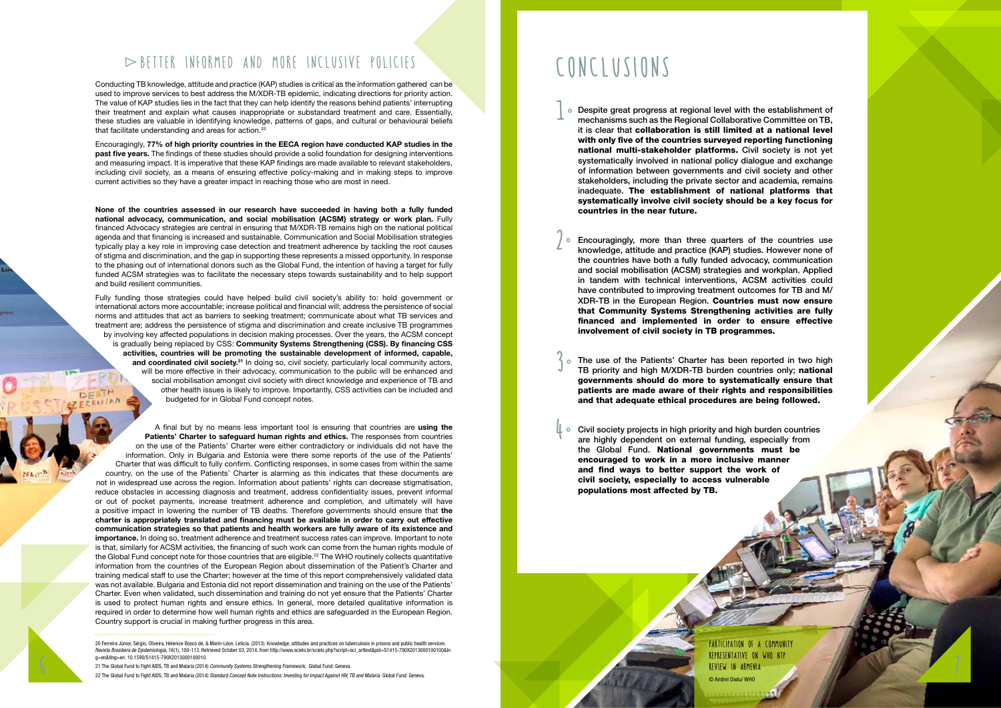### $\blacktriangleright$  BETTER INFORMED AND MORE INCLUSIVE P

Conducting TB knowledge, attitude and practice (KAP) studies is critical as the information gathered can be used to improve services to best address the M/XDR-TB epidemic, indicating directions for priority action. The value of KAP studies lies in the fact that they can help identify the reasons behind patients' interrupting their treatment and explain what causes inappropriate or substandard treatment and care. Essentially, these studies are valuable in identifying knowledge, patterns of gaps, and cultural or behavioural beliefs that facilitate understanding and areas for action.<sup>20</sup>

Encouragingly, **77% of high priority countries in the EECA region have conducted KAP studies in the past five years.** The findings of these studies should provide a solid foundation for designing interventions and measuring impact. It is imperative that these KAP findings are made available to relevant stakeholders, including civil society, as a means of ensuring effective policy-making and in making steps to improve current activities so they have a greater impact in reaching those who are most in need.

**None of the countries assessed in our research have succeeded in having both a fully funded national advocacy, communication, and social mobilisation (ACSM) strategy or work plan.** Fully financed Advocacy strategies are central in ensuring that M/XDR-TB remains high on the national political agenda and that financing is increased and sustainable. Communication and Social Mobilisation strategies typically play a key role in improving case detection and treatment adherence by tackling the root causes of stigma and discrimination, and the gap in supporting these represents a missed opportunity. In response to the phasing out of international donors such as the Global Fund, the intention of having a target for fully funded ACSM strategies was to facilitate the necessary steps towards sustainability and to help support and build resilient communities.

Fully funding those strategies could have helped build civil society's ability to: hold government or international actors more accountable; increase political and financial will; address the persistence of social norms and attitudes that act as barriers to seeking treatment; communicate about what TB services and treatment are; address the persistence of stigma and discrimination and create inclusive TB programmes by involving key affected populations in decision making processes. Over the years, the ACSM concept is gradually being replaced by CSS: **Community Systems Strengthening (CSS). By financing CSS activities, countries will be promoting the sustainable development of informed, capable,**  and coordinated civil society.<sup>21</sup> In doing so, civil society, particularly local community actors, will be more effective in their advocacy, communication to the public will be enhanced and social mobilisation amongst civil society with direct knowledge and experience of TB and other health issues is likely to improve. Importantly, CSS activities can be included and budgeted for in Global Fund concept notes.

- o Despite great progress at regional level with the establishment of mechanisms such as the Regional Collaborative Committee on TB, mechanisms such as the Regional Collaborative Committee on TB, it is clear that collaboration is still limited at a national level with only five of the countries surveyed reporting functioning national multi-stakeholder platforms. Civil society is not yet systematically involved in national policy dialogue and exchange of information between governments and civil society and other stakeholders, including the private sector and academia, remains inadequate. The establishment of national platforms that systematically involve civil society should be a key focus for countries in the near future. 1
	- Encouragingly, more than three quarters of the countries use knowledge, attitude and practice (KAP) studies. However none of the countries have both a fully funded advocacy, communication and social mobilisation (ACSM) strategies and workplan. Applied in tandem with technical interventions, ACSM activities could have contributed to improving treatment outcomes for TB and M/ XDR-TB in the European Region. Countries must now ensure that Community Systems Strengthening activities are fully financed and implemented in order to ensure effective involvement of civil society in TB programmes.  $\circ$
	- The use of the Patients' Charter has been reported in two high TB priority and high M/XDR-TB burden countries only; national governments should do more to systematically ensure that patients are made aware of their rights and responsibilities and that adequate ethical procedures are being followed. °
	- <sup>o</sup> Civil society projects in high priority and high burden countries are highly dependent on external funding, especially from are highly dependent on external funding, especially from the Global Fund. National governments must be encouraged to work in a more inclusive manner and find ways to better support the work of civil society, especially to access vulnerable populations most affected by TB.

A final but by no means less important tool is ensuring that countries are **using the Patients' Charter to safeguard human rights and ethics.** The responses from countries on the use of the Patients' Charter were either contradictory or individuals did not have the information. Only in Bulgaria and Estonia were there some reports of the use of the Patients' Charter that was difficult to fully confirm. Conflicting responses, in some cases from within the same country, on the use of the Patients' Charter is alarming as this indicates that these documents are not in widespread use across the region. Information about patients' rights can decrease stigmatisation, reduce obstacles in accessing diagnosis and treatment, address confidentiality issues, prevent informal or out of pocket payments, increase treatment adherence and completion, and ultimately will have a positive impact in lowering the number of TB deaths. Therefore governments should ensure that **the charter is appropriately translated and financing must be available in order to carry out effective communication strategies so that patients and health workers are fully aware of its existence and importance.** In doing so, treatment adherence and treatment success rates can improve. Important to note is that, similarly for ACSM activities, the financing of such work can come from the human rights module of the Global Fund concept note for those countries that are eligible.22 The WHO routinely collects quantitative information from the countries of the European Region about dissemination of the Patient's Charter and training medical staff to use the Charter; however at the time of this report comprehensively validated data was not available. Bulgaria and Estonia did not report dissemination and training on the use of the Patients' Charter. Even when validated, such dissemination and training do not yet ensure that the Patients' Charter is used to protect human rights and ensure ethics. In general, more detailed qualitative information is required in order to determine how well human rights and ethics are safeguarded in the European Region. Country support is crucial in making further progress in this area.

20 Ferreira Júnior, Sérgio, Oliveira, Helenice Bosco de, & Marin-Léon, Letícia. (2013). Knowledge, attitudes and practices on tuberculosis in prisons and public health services. Revista Brasileira de Epidemiologia, 16(1), 100-113. Retrieved October 03, 2014, from http://www.scielo.br/scielo.php?script=sci\_arttext&pid=S1415-790X2013000100100&ln g=en&tlng=en. 10.1590/S1415-790X2013000100010.

21 The Global Fund to Fight AIDS, TB and Malaria (2014) Community Systems Strengthening Framework, Global Fund: Geneva.

22 The Global Fund to Fight AIDS, TB and Malaria (2014) Standard Concept Note Instructions: Investing for Impact Against HIV, TB and Malaria. Global Fund: Geneva.

2

3

4

# Conclusions

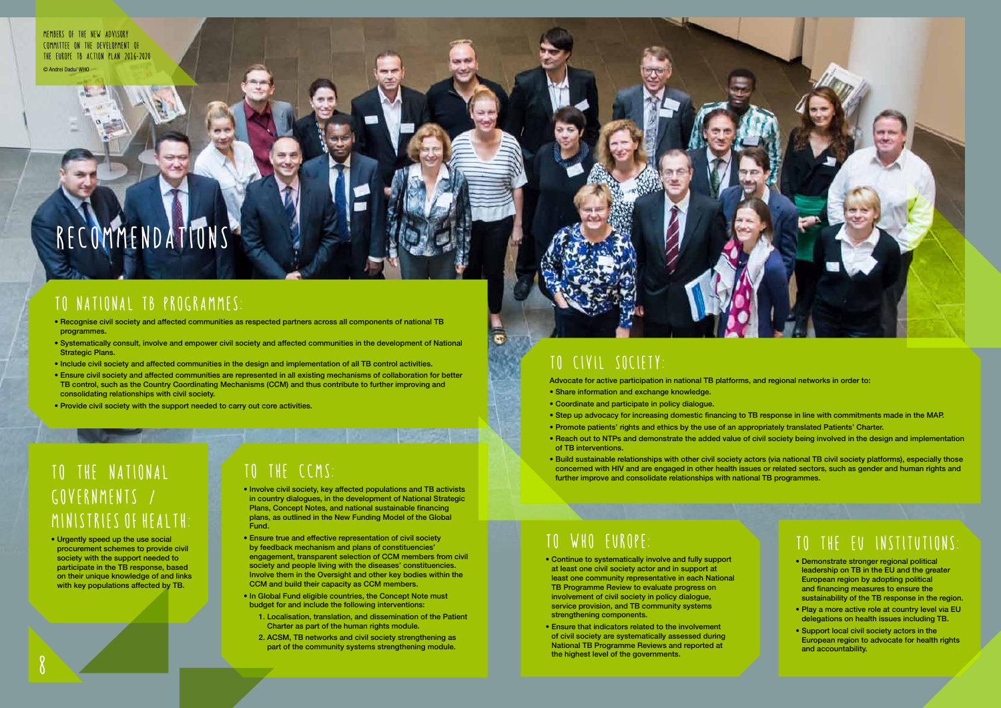### To the EU institutions:

- •Demonstrate stronger regional political leadership on TB in the EU and the greater European region by adopting political and financing measures to ensure the sustainability of the TB response in the region.
- •Play a more active role at country level via EU delegations on health issues including TB.
- •Support local civil society actors in the European region to advocate for health rights and accountability.

# To the National governments / Ministries of Health:

•Urgently speed up the use social procurement schemes to provide civil society with the support needed to participate in the TB response, based on their unique knowledge of and links with key populations affected by TB.

# To the CCMs:

•Involve civil society, key affected populations and TB activists in country dialogues, in the development of National Strategic Plans, Concept Notes, and national sustainable financing plans, as outlined in the New Funding Model of the Global Fund.

TO JOYCE CHANNEL AND THE COMPANY OF THE

Advocate for active participation in national TB platforms, and regional networks in order to: •Share information and exchange knowledge.

- •Ensure true and effective representation of civil society by feedback mechanism and plans of constituencies' engagement, transparent selection of CCM members from civil society and people living with the diseases' constituencies. Involve them in the Oversight and other key bodies within the CCM and build their capacity as CCM members.
- •In Global Fund eligible countries, the Concept Note must budget for and include the following interventions:
	- 1. Localisation, translation, and dissemination of the Patient Charter as part of the human rights module.
	- 2. ACSM, TB networks and civil society strengthening as part of the community systems strengthening module.
- •Continue to systematically involve and fully support at least one civil society actor and in support at least one community representative in each National TB Programme Review to evaluate progress on involvement of civil society in policy dialogue, service provision, and TB community systems strengthening components.
- •Ensure that indicators related to the involvement of civil society are systematically assessed during National TB Programme Reviews and reported at the highest level of the governments.<br>The highest level of the governments.



### To  National  TB PROGRAMMES:

- •Recognise civil society and affected communities as respected partners across all components of national TB programmes.
- •Systematically consult, involve and empower civil society and affected communities in the development of National **Strategic Plans.**
- •Include civil society and affected communities in the design and implementation of all TB control activities.
- •Ensure civil society and affected communities are represented in all existing mechanisms of collaboration for better TB control, such as the Country Coordinating Mechanisms (CCM) and thus contribute to further improving and consolidating relationships with civil society.
- •Provide civil society with the support needed to carry out core activities.

### To civil society:

l.

- 
- •Coordinate and participate in policy dialogue.
- •Step up advocacy for increasing domestic financing to TB response in line with commitments made in the MAP. •Promote patients' rights and ethics by the use of an appropriately translated Patients' Charter.
- 
- •Reach out to NTPs and demonstrate the added value of civil society being involved in the design and implementation of TB interventions.
- further improve and consolidate relationships with national TB programmes.

•Build sustainable relationships with other civil society actors (via national TB civil society platforms), especially those concerned with HIV and are engaged in other health issues or related sectors, such as gender and human rights and

### To WHO Europe:

# Recommendations

Members of the new Advisory COMMITTEE ON THE DEVELOPMENT OF the Europe TB Action Plan 2016-2020 © Andrei Dadu/ WHO